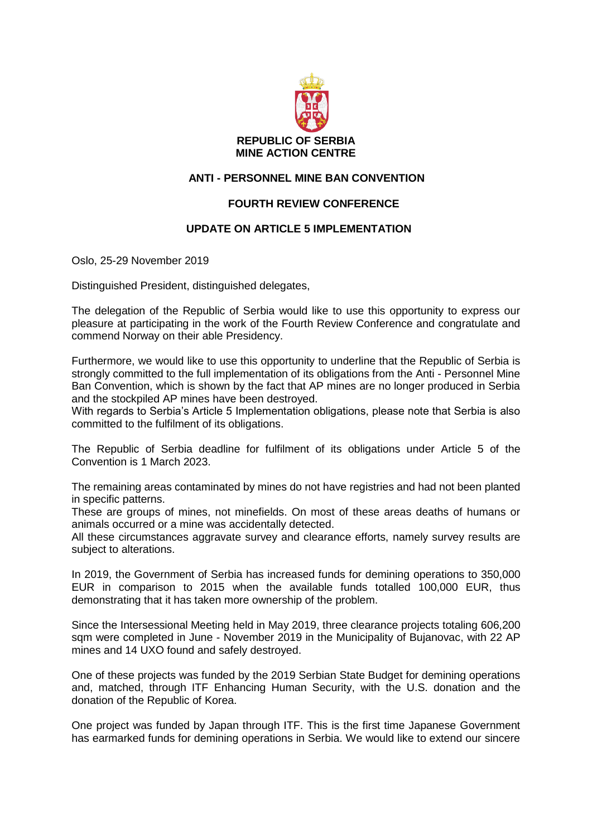

## **ANTI - PERSONNEL MINE BAN CONVENTION**

## **FOURTH REVIEW CONFERENCE**

## **UPDATE ON ARTICLE 5 IMPLEMENTATION**

Oslo, 25-29 November 2019

Distinguished President, distinguished delegates,

The delegation of the Republic of Serbia would like to use this opportunity to express our pleasure at participating in the work of the Fourth Review Conference and congratulate and commend Norway on their able Presidency.

Furthermore, we would like to use this opportunity to underline that the Republic of Serbia is strongly committed to the full implementation of its obligations from the Anti - Personnel Mine Ban Convention, which is shown by the fact that AP mines are no longer produced in Serbia and the stockpiled AP mines have been destroyed.

With regards to Serbia's Article 5 Implementation obligations, please note that Serbia is also committed to the fulfilment of its obligations.

The Republic of Serbia deadline for fulfilment of its obligations under Article 5 of the Convention is 1 March 2023.

The remaining areas contaminated by mines do not have registries and had not been planted in specific patterns.

These are groups of mines, not minefields. On most of these areas deaths of humans or animals occurred or a mine was accidentally detected.

All these circumstances aggravate survey and clearance efforts, namely survey results are subject to alterations.

In 2019, the Government of Serbia has increased funds for demining operations to 350,000 EUR in comparison to 2015 when the available funds totalled 100,000 EUR, thus demonstrating that it has taken more ownership of the problem.

Since the Intersessional Meeting held in May 2019, three clearance projects totaling 606,200 sqm were completed in June - November 2019 in the Municipality of Bujanovac, with 22 AP mines and 14 UXO found and safely destroyed.

One of these projects was funded by the 2019 Serbian State Budget for demining operations and, matched, through ITF Enhancing Human Security, with the U.S. donation and the donation of the Republic of Korea.

One project was funded by Japan through ITF. This is the first time Japanese Government has earmarked funds for demining operations in Serbia. We would like to extend our sincere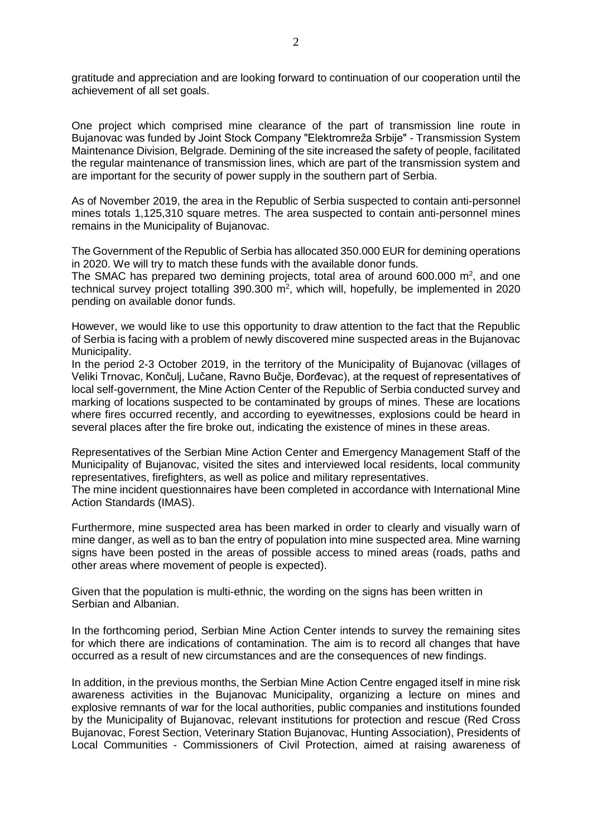gratitude and appreciation and are looking forward to continuation of our cooperation until the achievement of all set goals.

One project which comprised mine clearance of the part of transmission line route in Bujanovac was funded by Joint Stock Company "Elektromreža Srbije" - Transmission System Maintenance Division, Belgrade. Demining of the site increased the safety of people, facilitated the regular maintenance of transmission lines, which are part of the transmission system and are important for the security of power supply in the southern part of Serbia.

As of November 2019, the area in the Republic of Serbia suspected to contain anti-personnel mines totals 1,125,310 square metres. The area suspected to contain anti-personnel mines remains in the Municipality of Bujanovac.

The Government of the Republic of Serbia has allocated 350.000 EUR for demining operations in 2020. We will try to match these funds with the available donor funds.

The SMAC has prepared two demining projects, total area of around  $600.000 \text{ m}^2$ , and one technical survey project totalling  $390.300$  m<sup>2</sup>, which will, hopefully, be implemented in 2020 pending on available donor funds.

However, we would like to use this opportunity to draw attention to the fact that the Republic of Serbia is facing with a problem of newly discovered mine suspected areas in the Bujanovac Municipality.

In the period 2-3 October 2019, in the territory of the Municipality of Bujanovac (villages of Veliki Trnovac, Končulj, Lučane, Ravno Bučje, Đorđevac), at the request of representatives of local self-government, the Mine Action Center of the Republic of Serbia conducted survey and marking of locations suspected to be contaminated by groups of mines. These are locations where fires occurred recently, and according to eyewitnesses, explosions could be heard in several places after the fire broke out, indicating the existence of mines in these areas.

Representatives of the Serbian Mine Action Center and Emergency Management Staff of the Municipality of Bujanovac, visited the sites and interviewed local residents, local community representatives, firefighters, as well as police and military representatives.

The mine incident questionnaires have been completed in accordance with International Mine Action Standards (IMAS).

Furthermore, mine suspected area has been marked in order to clearly and visually warn of mine danger, as well as to ban the entry of population into mine suspected area. Mine warning signs have been posted in the areas of possible access to mined areas (roads, paths and other areas where movement of people is expected).

Given that the population is multi-ethnic, the wording on the signs has been written in Serbian and Albanian.

In the forthcoming period, Serbian Mine Action Center intends to survey the remaining sites for which there are indications of contamination. The aim is to record all changes that have occurred as a result of new circumstances and are the consequences of new findings.

In addition, in the previous months, the Serbian Mine Action Centre engaged itself in mine risk awareness activities in the Bujanovac Municipality, organizing a lecture on mines and explosive remnants of war for the local authorities, public companies and institutions founded by the Municipality of Bujanovac, relevant institutions for protection and rescue (Red Cross Bujanovac, Forest Section, Veterinary Station Bujanovac, Hunting Association), Presidents of Local Communities - Commissioners of Civil Protection, aimed at raising awareness of